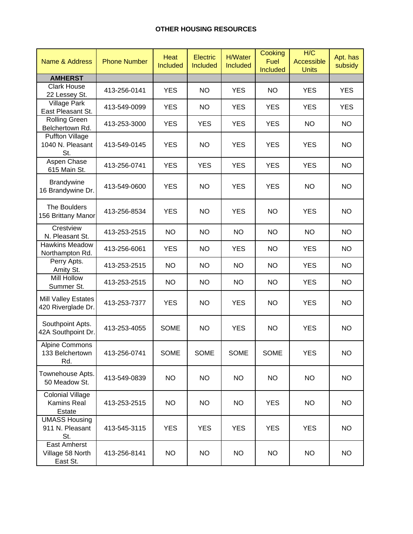| Name & Address                                    | <b>Phone Number</b> | <b>Heat</b><br><b>Included</b> | Electric<br><b>Included</b> | <b>H/Water</b><br>Included | Cooking<br><b>Fuel</b><br>Included | H/C<br>Accessible<br><b>Units</b> | Apt. has<br>subsidy |
|---------------------------------------------------|---------------------|--------------------------------|-----------------------------|----------------------------|------------------------------------|-----------------------------------|---------------------|
| <b>AMHERST</b>                                    |                     |                                |                             |                            |                                    |                                   |                     |
| <b>Clark House</b><br>22 Lessey St.               | 413-256-0141        | <b>YES</b>                     | <b>NO</b>                   | <b>YES</b>                 | <b>NO</b>                          | <b>YES</b>                        | <b>YES</b>          |
| <b>Village Park</b><br>East Pleasant St.          | 413-549-0099        | <b>YES</b>                     | <b>NO</b>                   | <b>YES</b>                 | <b>YES</b>                         | <b>YES</b>                        | <b>YES</b>          |
| <b>Rolling Green</b><br>Belchertown Rd.           | 413-253-3000        | <b>YES</b>                     | <b>YES</b>                  | <b>YES</b>                 | <b>YES</b>                         | <b>NO</b>                         | <b>NO</b>           |
| <b>Puffton Village</b><br>1040 N. Pleasant<br>St. | 413-549-0145        | <b>YES</b>                     | <b>NO</b>                   | <b>YES</b>                 | <b>YES</b>                         | <b>YES</b>                        | <b>NO</b>           |
| Aspen Chase<br>615 Main St.                       | 413-256-0741        | <b>YES</b>                     | <b>YES</b>                  | <b>YES</b>                 | <b>YES</b>                         | <b>YES</b>                        | <b>NO</b>           |
| <b>Brandywine</b><br>16 Brandywine Dr.            | 413-549-0600        | <b>YES</b>                     | <b>NO</b>                   | <b>YES</b>                 | <b>YES</b>                         | <b>NO</b>                         | <b>NO</b>           |
| The Boulders<br>156 Brittany Manor                | 413-256-8534        | <b>YES</b>                     | <b>NO</b>                   | <b>YES</b>                 | <b>NO</b>                          | <b>YES</b>                        | <b>NO</b>           |
| Crestview<br>N. Pleasant St.                      | 413-253-2515        | <b>NO</b>                      | <b>NO</b>                   | <b>NO</b>                  | <b>NO</b>                          | <b>NO</b>                         | <b>NO</b>           |
| <b>Hawkins Meadow</b><br>Northampton Rd.          | 413-256-6061        | <b>YES</b>                     | <b>NO</b>                   | <b>YES</b>                 | <b>NO</b>                          | <b>YES</b>                        | <b>NO</b>           |
| Perry Apts.<br>Amity St.                          | 413-253-2515        | <b>NO</b>                      | <b>NO</b>                   | <b>NO</b>                  | <b>NO</b>                          | <b>YES</b>                        | <b>NO</b>           |
| <b>Mill Hollow</b><br>Summer St.                  | 413-253-2515        | <b>NO</b>                      | <b>NO</b>                   | <b>NO</b>                  | <b>NO</b>                          | <b>YES</b>                        | <b>NO</b>           |
| Mill Valley Estates<br>420 Riverglade Dr.         | 413-253-7377        | <b>YES</b>                     | <b>NO</b>                   | <b>YES</b>                 | <b>NO</b>                          | <b>YES</b>                        | <b>NO</b>           |
| Southpoint Apts.<br>42A Southpoint Dr.            | 413-253-4055        | <b>SOME</b>                    | <b>NO</b>                   | <b>YES</b>                 | <b>NO</b>                          | <b>YES</b>                        | <b>NO</b>           |
| <b>Alpine Commons</b><br>133 Belchertown<br>Rd.   | 413-256-0741        | <b>SOME</b>                    | <b>SOME</b>                 | <b>SOME</b>                | <b>SOME</b>                        | <b>YES</b>                        | <b>NO</b>           |
| Townehouse Apts.<br>50 Meadow St.                 | 413-549-0839        | <b>NO</b>                      | <b>NO</b>                   | <b>NO</b>                  | <b>NO</b>                          | <b>NO</b>                         | <b>NO</b>           |
| Colonial Village<br>Kamins Real<br>Estate         | 413-253-2515        | <b>NO</b>                      | <b>NO</b>                   | <b>NO</b>                  | <b>YES</b>                         | <b>NO</b>                         | <b>NO</b>           |
| <b>UMASS Housing</b><br>911 N. Pleasant<br>St.    | 413-545-3115        | <b>YES</b>                     | <b>YES</b>                  | <b>YES</b>                 | <b>YES</b>                         | <b>YES</b>                        | <b>NO</b>           |
| East Amherst<br>Village 58 North<br>East St.      | 413-256-8141        | <b>NO</b>                      | <b>NO</b>                   | <b>NO</b>                  | <b>NO</b>                          | <b>NO</b>                         | <b>NO</b>           |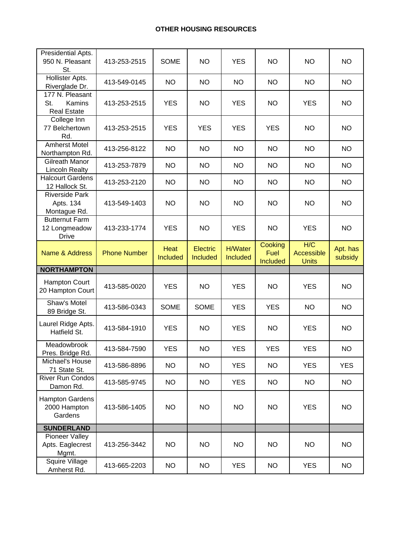## **OTHER HOUSING RESOURCES**

| Presidential Apts.<br>950 N. Pleasant<br>St.                  | 413-253-2515        | <b>SOME</b>             | <b>NO</b>            | <b>YES</b>                 | <b>NO</b>              | <b>NO</b>         | <b>NO</b>           |
|---------------------------------------------------------------|---------------------|-------------------------|----------------------|----------------------------|------------------------|-------------------|---------------------|
| Hollister Apts.<br>Riverglade Dr.                             | 413-549-0145        | <b>NO</b>               | <b>NO</b>            | <b>NO</b>                  | <b>NO</b>              | <b>NO</b>         | <b>NO</b>           |
| 177 N. Pleasant<br>St.<br>Kamins<br><b>Real Estate</b>        | 413-253-2515        | <b>YES</b>              | <b>NO</b>            | <b>YES</b>                 | <b>NO</b>              | <b>YES</b>        | <b>NO</b>           |
| College Inn<br>77 Belchertown<br>Rd.                          | 413-253-2515        | <b>YES</b>              | <b>YES</b>           | <b>YES</b>                 | <b>YES</b>             | <b>NO</b>         | <b>NO</b>           |
| <b>Amherst Motel</b><br>Northampton Rd.                       | 413-256-8122        | <b>NO</b>               | <b>NO</b>            | <b>NO</b>                  | <b>NO</b>              | <b>NO</b>         | <b>NO</b>           |
| Gilreath Manor<br><b>Lincoln Realty</b>                       | 413-253-7879        | <b>NO</b>               | <b>NO</b>            | <b>NO</b>                  | <b>NO</b>              | <b>NO</b>         | <b>NO</b>           |
| <b>Halcourt Gardens</b><br>12 Hallock St.                     | 413-253-2120        | <b>NO</b>               | <b>NO</b>            | <b>NO</b>                  | <b>NO</b>              | <b>NO</b>         | <b>NO</b>           |
| <b>Riverside Park</b><br>Apts. 134<br>Montague Rd.            | 413-549-1403        | <b>NO</b>               | <b>NO</b>            | <b>NO</b>                  | <b>NO</b>              | <b>NO</b>         | <b>NO</b>           |
| <b>Butternut Farm</b><br>12 Longmeadow<br><b>Drive</b>        | 413-233-1774        | <b>YES</b>              | <b>NO</b>            | <b>YES</b>                 | <b>NO</b>              | <b>YES</b>        | <b>NO</b>           |
| Name & Address                                                | <b>Phone Number</b> | Heat<br><b>Included</b> | Electric<br>Included | <b>H/Water</b><br>Included | Cooking<br><b>Fuel</b> | H/C<br>Accessible | Apt. has<br>subsidy |
|                                                               |                     |                         |                      |                            | Included               | <b>Units</b>      |                     |
| <b>NORTHAMPTON</b>                                            |                     |                         |                      |                            |                        |                   |                     |
| <b>Hampton Court</b><br>20 Hampton Court                      | 413-585-0020        | <b>YES</b>              | <b>NO</b>            | <b>YES</b>                 | <b>NO</b>              | <b>YES</b>        | <b>NO</b>           |
| Shaw's Motel<br>89 Bridge St.                                 | 413-586-0343        | SOME                    | <b>SOME</b>          | <b>YES</b>                 | <b>YES</b>             | <b>NO</b>         | <b>NO</b>           |
| Laurel Ridge Apts.<br>Hatfield St.                            | 413-584-1910        | <b>YES</b>              | <b>NO</b>            | <b>YES</b>                 | <b>NO</b>              | <b>YES</b>        | <b>NO</b>           |
| Meadowbrook<br>Pres. Bridge Rd.                               | 413-584-7590        | <b>YES</b>              | <b>NO</b>            | <b>YES</b>                 | <b>YES</b>             | <b>YES</b>        | <b>NO</b>           |
| Michael's House<br>71 State St.                               | 413-586-8896        | <b>NO</b>               | <b>NO</b>            | <b>YES</b>                 | <b>NO</b>              | <b>YES</b>        | <b>YES</b>          |
| <b>River Run Condos</b><br>Damon Rd.                          | 413-585-9745        | <b>NO</b>               | <b>NO</b>            | <b>YES</b>                 | <b>NO</b>              | <b>NO</b>         | <b>NO</b>           |
| <b>Hampton Gardens</b><br>2000 Hampton<br>Gardens             | 413-586-1405        | <b>NO</b>               | <b>NO</b>            | <b>NO</b>                  | <b>NO</b>              | <b>YES</b>        | <b>NO</b>           |
| <b>SUNDERLAND</b>                                             |                     |                         |                      |                            |                        |                   |                     |
| Pioneer Valley<br>Apts. Eaglecrest<br>Mgmt.<br>Squire Village | 413-256-3442        | <b>NO</b>               | NO                   | <b>NO</b>                  | <b>NO</b>              | <b>NO</b>         | <b>NO</b>           |